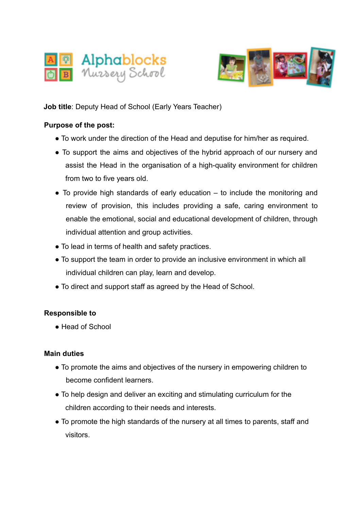



**Job title**: Deputy Head of School (Early Years Teacher)

## **Purpose of the post:**

- To work under the direction of the Head and deputise for him/her as required.
- To support the aims and objectives of the hybrid approach of our nursery and assist the Head in the organisation of a high-quality environment for children from two to five years old.
- $\bullet$  To provide high standards of early education  $-$  to include the monitoring and review of provision, this includes providing a safe, caring environment to enable the emotional, social and educational development of children, through individual attention and group activities.
- To lead in terms of health and safety practices.
- To support the team in order to provide an inclusive environment in which all individual children can play, learn and develop.
- To direct and support staff as agreed by the Head of School.

## **Responsible to**

● Head of School

## **Main duties**

- To promote the aims and objectives of the nursery in empowering children to become confident learners.
- To help design and deliver an exciting and stimulating curriculum for the children according to their needs and interests.
- To promote the high standards of the nursery at all times to parents, staff and visitors.